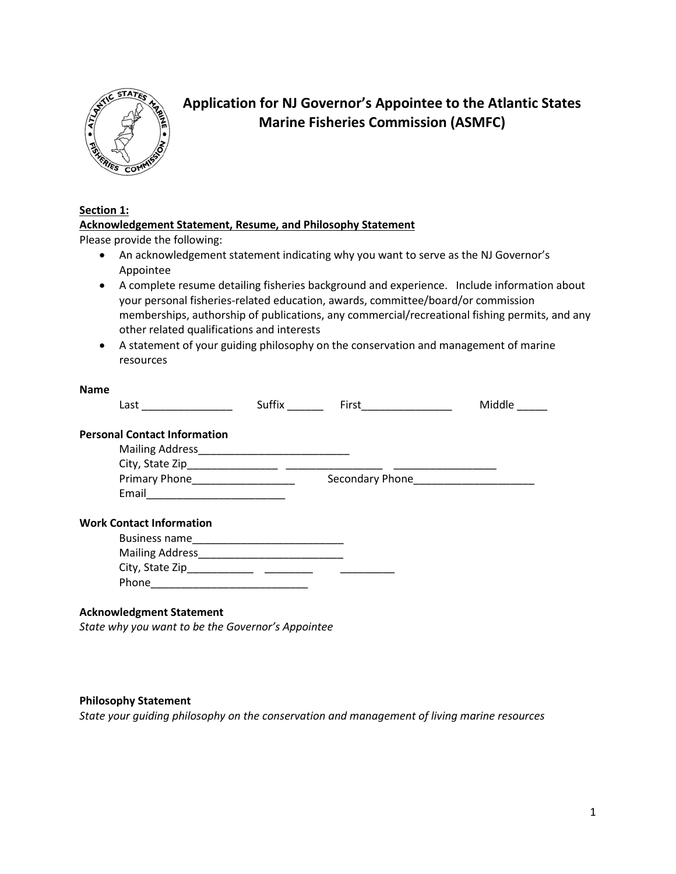

# **Application for NJ Governor's Appointee to the Atlantic States Marine Fisheries Commission (ASMFC)**

# **Section 1:**

# **Acknowledgement Statement, Resume, and Philosophy Statement**

Please provide the following:

- An acknowledgement statement indicating why you want to serve as the NJ Governor's Appointee
- A complete resume detailing fisheries background and experience. Include information about your personal fisheries-related education, awards, committee/board/or commission memberships, authorship of publications, any commercial/recreational fishing permits, and any other related qualifications and interests
- A statement of your guiding philosophy on the conservation and management of marine resources

#### **Name**

| Last                                | Suffix | <b>First Executive State State State</b> | Middle |
|-------------------------------------|--------|------------------------------------------|--------|
| <b>Personal Contact Information</b> |        |                                          |        |
|                                     |        |                                          |        |
|                                     |        |                                          |        |
|                                     |        |                                          |        |
|                                     |        |                                          |        |
| <b>Work Contact Information</b>     |        |                                          |        |
|                                     |        |                                          |        |
|                                     |        |                                          |        |
|                                     |        |                                          |        |
|                                     |        |                                          |        |
|                                     |        |                                          |        |
| <b>Acknowledgment Statement</b>     |        |                                          |        |

*State why you want to be the Governor's Appointee*

#### **Philosophy Statement**

*State your guiding philosophy on the conservation and management of living marine resources*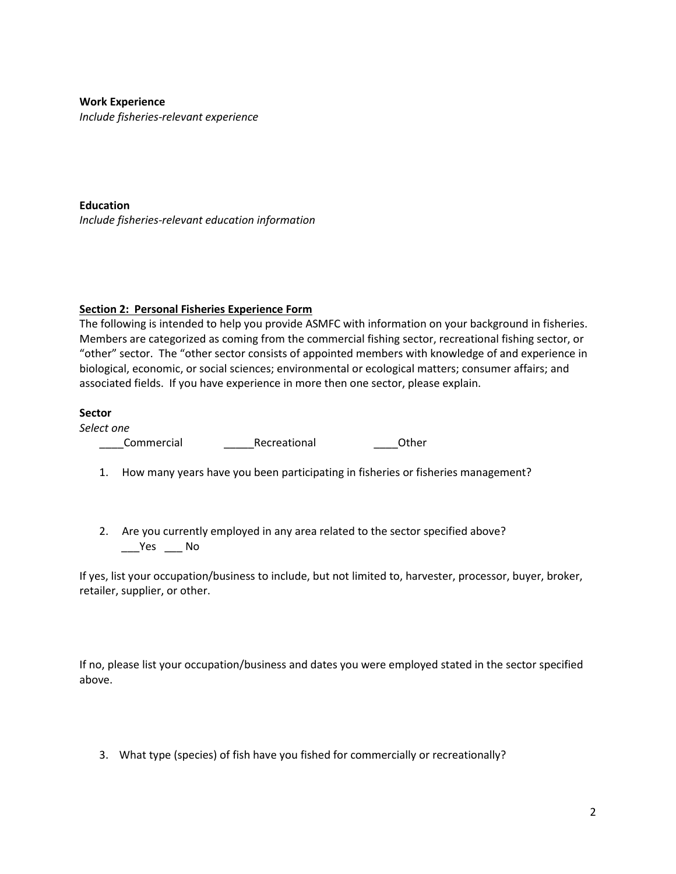## **Work Experience**

*Include fisheries-relevant experience*

**Education** *Include fisheries-relevant education information*

## **Section 2: Personal Fisheries Experience Form**

The following is intended to help you provide ASMFC with information on your background in fisheries. Members are categorized as coming from the commercial fishing sector, recreational fishing sector, or "other" sector. The "other sector consists of appointed members with knowledge of and experience in biological, economic, or social sciences; environmental or ecological matters; consumer affairs; and associated fields. If you have experience in more then one sector, please explain.

## **Sector**

*Select one*

\_\_\_\_Commercial \_\_\_\_\_Recreational \_\_\_\_Other

- 1. How many years have you been participating in fisheries or fisheries management?
- 2. Are you currently employed in any area related to the sector specified above? \_\_\_Yes \_\_\_ No

If yes, list your occupation/business to include, but not limited to, harvester, processor, buyer, broker, retailer, supplier, or other.

If no, please list your occupation/business and dates you were employed stated in the sector specified above.

3. What type (species) of fish have you fished for commercially or recreationally?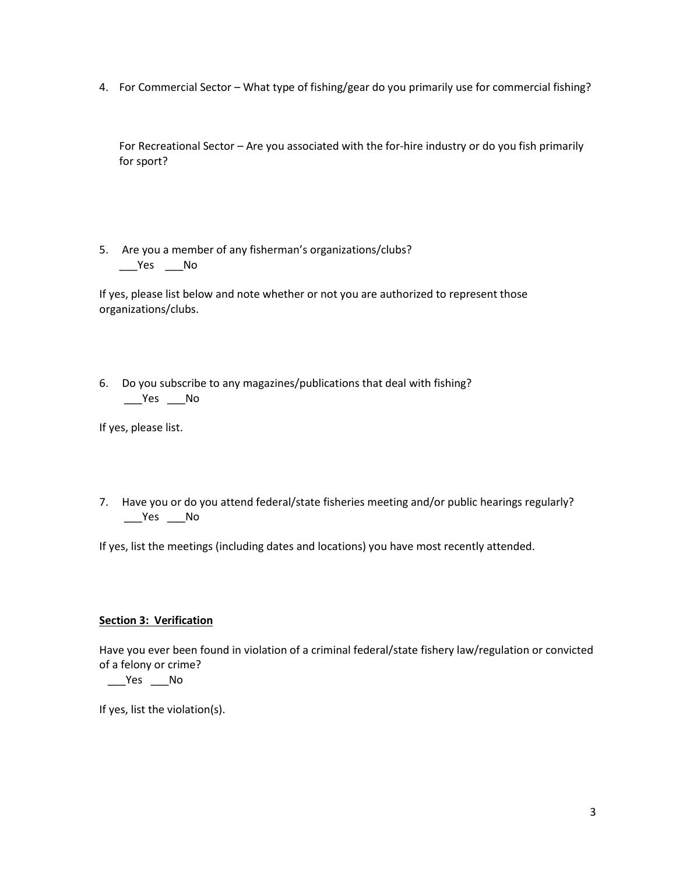4. For Commercial Sector – What type of fishing/gear do you primarily use for commercial fishing?

For Recreational Sector – Are you associated with the for-hire industry or do you fish primarily for sport?

5. Are you a member of any fisherman's organizations/clubs?  $\rule{1em}{0.15mm}$   $\qquad$   $\qquad$   $\qquad$   $\blacksquare$   $\blacksquare$   $\blacksquare$   $\blacksquare$   $\blacksquare$   $\blacksquare$   $\blacksquare$   $\blacksquare$   $\blacksquare$   $\blacksquare$ 

If yes, please list below and note whether or not you are authorized to represent those organizations/clubs.

6. Do you subscribe to any magazines/publications that deal with fishing?  $\rule{1em}{0.15mm}$   $\qquad$   $\qquad$   $\qquad$   $\qquad$   $\qquad$   $\qquad$   $\qquad$   $\qquad$   $\qquad$   $\qquad$   $\qquad$   $\qquad$   $\qquad$   $\qquad$   $\qquad$   $\qquad$   $\qquad$   $\qquad$   $\qquad$   $\qquad$   $\qquad$   $\qquad$   $\qquad$   $\qquad$   $\qquad$   $\qquad$   $\qquad$   $\qquad$   $\qquad$   $\qquad$   $\qquad$   $\qquad$   $\qquad$   $\qquad$   $\$ 

If yes, please list.

7. Have you or do you attend federal/state fisheries meeting and/or public hearings regularly?  $\rule{1em}{0.15mm}$   $\qquad$   $\qquad$   $\qquad$   $\qquad$   $\qquad$   $\qquad$   $\qquad$   $\qquad$   $\qquad$   $\qquad$   $\qquad$   $\qquad$   $\qquad$   $\qquad$   $\qquad$   $\qquad$   $\qquad$   $\qquad$   $\qquad$   $\qquad$   $\qquad$   $\qquad$   $\qquad$   $\qquad$   $\qquad$   $\qquad$   $\qquad$   $\qquad$   $\qquad$   $\qquad$   $\qquad$   $\qquad$   $\qquad$   $\qquad$   $\$ 

If yes, list the meetings (including dates and locations) you have most recently attended.

# **Section 3: Verification**

Have you ever been found in violation of a criminal federal/state fishery law/regulation or convicted of a felony or crime?

 $\rule{1em}{0.15mm}$   $\qquad$   $\qquad$   $\qquad$   $\qquad$   $\qquad$   $\qquad$   $\qquad$   $\qquad$   $\qquad$   $\qquad$   $\qquad$   $\qquad$   $\qquad$   $\qquad$   $\qquad$   $\qquad$   $\qquad$   $\qquad$   $\qquad$   $\qquad$   $\qquad$   $\qquad$   $\qquad$   $\qquad$   $\qquad$   $\qquad$   $\qquad$   $\qquad$   $\qquad$   $\qquad$   $\qquad$   $\qquad$   $\qquad$   $\qquad$   $\$ 

If yes, list the violation(s).